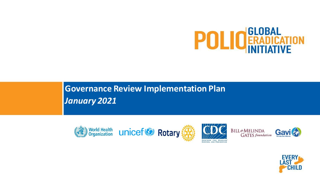

**Governance Review Implementation Plan** *January 2021*



CONTROL AND PREVENTION

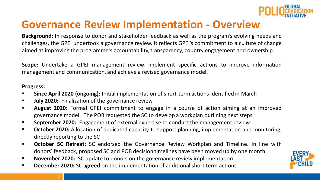

# **Governance Review Implementation - Overview**

**Background:** In response to donor and stakeholder feedback as well as the program's evolving needs and challenges, the GPEI undertook a governance review. It reflects GPEI's commitment to a culture of change aimed at improving the programme's accountability, transparency, country engagement and ownership.

**Scope:** Undertake a GPEI management review, implement specific actions to improve information management and communication, and achieve a revised governance model.

#### **Progress:**

- **Since April 2020 (ongoing):** Initial implementation of short-term actions identified in March
- **July 2020:** Finalization of the governance review
- **EXT** August 2020: Formal GPEI commitment to engage in a course of action aiming at an improved governance model. The POB requested the SC to develop a workplan outlining next steps
- **EXP** September 2020: Engagement of external expertise to conduct the management review
- **October 2020:** Allocation of dedicated capacity to support planning, implementation and monitoring, directly reporting to the SC
- **October SC Retreat:** SC endorsed the Governance Review Workplan and Timeline. In line with donors' feedback, proposed SC and POB decision timelines have been moved up by one month
- November 2020: SC update to donors on the governance review implementation
- **December 2020:** SC agreed on the implementation of additional short term actions

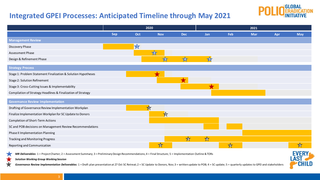### **Integrated GPEI Processes: Anticipated Timeline through May 2021**



|                                                               | 2020       |     |                | 2021       |           |     |            |     |            |
|---------------------------------------------------------------|------------|-----|----------------|------------|-----------|-----|------------|-----|------------|
|                                                               | <b>Sep</b> | Oct | <b>Nov</b>     | <b>Dec</b> | Jan       | Feb | <b>Mar</b> | Apr | <b>May</b> |
| <b>Management Review</b>                                      |            |     |                |            |           |     |            |     |            |
| Discovery Phase                                               |            | X   |                |            |           |     |            |     |            |
| Assessment Phase                                              |            |     | 727            |            |           |     |            |     |            |
| Design & Refinement Phase                                     |            |     | $\overline{3}$ | 747        | 157       |     |            |     |            |
| <b>Strategy Process</b>                                       |            |     |                |            |           |     |            |     |            |
| Stage 1: Problem Statement Finalization & Solution Hypotheses |            |     |                |            |           |     |            |     |            |
| Stage 2: Solution Refinement                                  |            |     |                |            |           |     |            |     |            |
| Stage 3: Cross-Cutting Issues & Implementability              |            |     |                |            |           |     |            |     |            |
| Compilation of Strategy Headlines & Finalization of Strategy  |            |     |                |            |           |     |            |     |            |
| <b>Governance Review Implementation</b>                       |            |     |                |            |           |     |            |     |            |
| Drafting of Governance Review Implementation Workplan         |            |     |                |            |           |     |            |     |            |
| Finalize Implementation Workplan for SC Update to Donors      |            |     | ☆              |            |           |     |            |     |            |
| Completion of Short-Term Actions                              |            |     |                |            |           |     |            |     |            |
| SC and POB decisions on Management Review Recommendations     |            |     |                |            |           |     |            |     |            |
| Phase II Implementation Planning                              |            |     |                |            |           |     |            |     |            |
| Tracking and Monitoring Progress                              |            |     |                | $\bigstar$ | <b>14</b> |     |            |     |            |
| Reporting and Communication                                   |            |     | 5 <sub>5</sub> |            |           | R   |            |     |            |

*MR Deliverables***:** 1 = Project Charter; 2 = Assessment Summary; 3 = Preliminary Design Recommendations; 4 = Final Structure; 5 = Implementation Outline & TORs



Governance Review Implementation Deliverables: 1 = Draft plan presentation at 27 Oct SC Retreat; 2 = SC Update to Donors, Nov; 3 = written update to POB; 4 = SC update; 5 = quarterly updates to GPEI and stakeholders

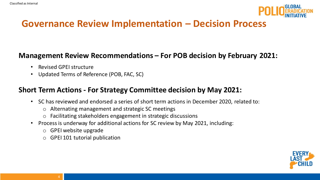

## **Governance Review Implementation – Decision Process**

#### **Management Review Recommendations – For POB decision by February 2021:**

- Revised GPEI structure
- Updated Terms of Reference (POB, FAC, SC)

### **Short Term Actions - For Strategy Committee decision by May 2021:**

- SC has reviewed and endorsed a series of short term actions in December 2020, related to:
	- o Alternating management and strategic SC meetings
	- o Facilitating stakeholders engagement in strategic discussions
- Process is underway for additional actions for SC review by May 2021, including:
	- o GPEI website upgrade
	- o GPEI 101 tutorial publication

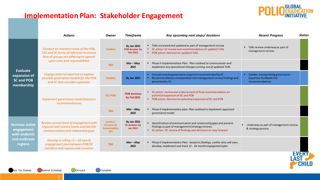#### **Implementation Plan: Stakeholder Engagement**



**AST** 

**CHILD** 

|                                                                                 | <b>Actions</b>                                                                                                                                                  | <b>Owner</b>                                                            | <b>Timeframe</b>                                  | Key upcoming next steps/ decisions                                                                                                                                                        | <b>Recent Progress</b>                                                          | <b>Status</b> |
|---------------------------------------------------------------------------------|-----------------------------------------------------------------------------------------------------------------------------------------------------------------|-------------------------------------------------------------------------|---------------------------------------------------|-------------------------------------------------------------------------------------------------------------------------------------------------------------------------------------------|---------------------------------------------------------------------------------|---------------|
| <b>Evaluate</b><br>expansion of<br>SC and POB<br>membership                     | Conduct an internal review of the POB,<br>FAC and SC terms of reference to ensure<br>that all groups are adhering to agreed-<br>upon roles and responsibilities | <b>Camber</b>                                                           | <b>By Jan 2021</b><br>POB decision by<br>Feb 2021 | " ToRs reviewed and updated as part of management review<br>SC action: SC review and recommendation of updated ToRs<br>" POB action: decision on updated ToRs                             | ToRs review underway as part of<br>management review                            |               |
|                                                                                 |                                                                                                                                                                 | <b>TBD</b>                                                              | $Mar - May$<br>2021                               | • Phase II Implementation Plan: Plan outlined to communicate and<br>implement any operational changes coming out of updated ToRs                                                          |                                                                                 |               |
|                                                                                 | Engage external expertise to explore<br>possible governance models for the POB<br>and SC that consider expansion                                                | <b>Camber</b>                                                           | <b>By Jan 2021</b>                                | " Consult outside governance expertise recommended by SC<br>Recommendations incorporated into management review findings and<br>presented to SC                                           | • Camber incorporating governance<br>expertise feedback into<br>recommendations |               |
|                                                                                 | Implement governance model based on<br>recommendations                                                                                                          | SC/POB                                                                  | <b>POB decision</b><br>by Feb 2021                | SC action: review and endorsement of final recommendation on<br>potential expansion of SC and POB<br>" POB action: decision on potential expansion of SC and POB                          |                                                                                 |               |
|                                                                                 |                                                                                                                                                                 | <b>TBD</b>                                                              | $Mar - May$<br>2021                               | • Phase II Implementation plan: Plan outlined to implement approved<br>governance model                                                                                                   |                                                                                 |               |
| <b>Increase active</b><br>engagement<br>with endemic<br>and outbreak<br>regions | Review current level of engagement with<br>regional and country teams and identify<br>communication and relationship gaps                                       | Camber/<br><b>Structure &amp;</b><br><b>Accountability</b><br><b>WG</b> | By Jan 2021<br>SC decision by<br>Jan 2021         | " Identification of communication and relationship gaps and present<br>findings as part of management/strategy reviews<br>" SC action: SC review of findings and decisions on way forward | Underway as part of management review<br>& strategy process                     |               |
|                                                                                 | Develop a rolling $12 - 18$ month<br>engagement plan between POB/SC<br>members and regions and countries                                                        | <b>TBD</b>                                                              | $Mar - May$<br>2021                               | • Phase II Implementation Plan: based on findings, outline who will own,<br>develop, implement and track 12 - 18 month engagement plan                                                    |                                                                                 |               |
|                                                                                 |                                                                                                                                                                 |                                                                         |                                                   |                                                                                                                                                                                           |                                                                                 |               |

Not Yet Started **Behind Schedule** On-track Complete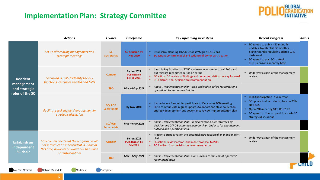#### **Implementation Plan: Strategy Committee**



.

|                                                                   | <b>Actions</b>                                                                                                                    | Owner                                | <b>Timeframe</b>                                         | Key upcoming next steps                                                                                                                                                                                                                | <b>Recent Progress</b>                                                                                                                                                                                   | <b>Status</b> |
|-------------------------------------------------------------------|-----------------------------------------------------------------------------------------------------------------------------------|--------------------------------------|----------------------------------------------------------|----------------------------------------------------------------------------------------------------------------------------------------------------------------------------------------------------------------------------------------|----------------------------------------------------------------------------------------------------------------------------------------------------------------------------------------------------------|---------------|
| <b>Reorient</b><br>management<br>and strategic<br>roles of the SC | Set up alternating management and<br>strategic meetings                                                                           | <b>SC</b><br><b>Secretariat</b>      | <b>SC decision by</b><br><b>Nov 2020</b>                 | Establish a planning schedule for strategic discussions<br>SC action: Confirm model and cadence of donor participation                                                                                                                 | • SC agreed to publish SC monthly<br>updates, to establish SC monthly<br>planning and a regularly updated GPEI<br>dashboard<br>" SC agreed to plan SC strategic<br>discussions on a monthly basis        |               |
|                                                                   | Set up an SC PMO: identify the key<br>functions, resources needed and ToRs                                                        | <b>Camber</b>                        | <b>By Jan 2021</b><br><b>POB</b> decision<br>by Feb 2021 | • Identify key functions of PMO and resources needed, draft ToRs and<br>put forward recommendation on set up<br>" SC action: SC review of findings and recommendation on way forward<br>• POB action: final decision on recommendation | " Underway as part of the management<br>review                                                                                                                                                           |               |
|                                                                   |                                                                                                                                   | <b>TBD</b>                           | Mar - May 2021                                           | Phase II Implementation Plan: plan outlined to define resources and<br>operationalize recommendations                                                                                                                                  |                                                                                                                                                                                                          |               |
|                                                                   | Facilitate stakeholders' engagement in<br>strategic discussion                                                                    | SC/POB<br><b>Secretariats</b>        | <b>By Nov 2020</b>                                       | Invite donors / endemics participate to December POB meeting<br>SC to communicate regular updates to donors and stakeholders on<br>strategy development and governance review implementation plan                                      | FCDO participation in SC retreat<br>• SC update to donors took place on 20th<br><b>Nov 2020</b><br>Open POB meeting 18th Dec 2020<br>" SC agreed to donors' participation in SC<br>strategic discussions |               |
|                                                                   |                                                                                                                                   | <b>SC/POB</b><br><b>Secretariats</b> | Mar - May 2021                                           | Phase II Implementation Plan: implementation plan informed by<br>decision on SC/POB expanded membership. Cadence for engagement<br>outlined and operationalized.                                                                       |                                                                                                                                                                                                          |               |
| <b>Establish an</b><br>independent<br><b>SC chair</b>             | SC recommended that the programme will<br>not introduce an independent SC Chair at<br>this time, however SC would like to outline | <b>Camber</b>                        | By Jan 2021<br>POB decision by<br><b>Feb 2021</b>        | " Present perspectives on the potential introduction of an independent<br>chair<br>SC action: Review options and make proposal to POB<br>POB action: final decision on recommendation                                                  | Underway as part of the management<br>review                                                                                                                                                             |               |
|                                                                   | potential options                                                                                                                 | <b>TBD</b>                           | Mar - May 2021                                           | Phase II Implementation Plan: plan outlined to implement approved<br>recommendation                                                                                                                                                    |                                                                                                                                                                                                          |               |

Not Yet Started **Behind Schedule** On-track Complete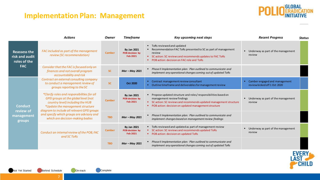#### **Implementation Plan: Management**



|                                                                     | <b>Actions</b>                                                                                                                                                                                                                                                                              | <b>Owner</b>  | <b>Timeframe</b>                                         | Key upcoming next steps                                                                                                                                                                                                      | <b>Recent Progress</b>                                              | <b>Status</b> |
|---------------------------------------------------------------------|---------------------------------------------------------------------------------------------------------------------------------------------------------------------------------------------------------------------------------------------------------------------------------------------|---------------|----------------------------------------------------------|------------------------------------------------------------------------------------------------------------------------------------------------------------------------------------------------------------------------------|---------------------------------------------------------------------|---------------|
| <b>Reassess the</b><br>risk and audit<br>roles of the<br><b>FAC</b> | FAC included as part of the management<br>review (SC recommendation)                                                                                                                                                                                                                        | <b>Camber</b> | <b>By Jan 2021</b><br>POB decision by<br><b>Feb 2021</b> | ■ ToRs reviewed and updated<br>Recommendation FAC ToRs presented to SC as part of management<br>review<br>" SC action: SC reviews and recommends updates to FAC ToRs<br>• POB action: decision on FAC role and ToRs          | ■ Underway as part of the management<br>review                      |               |
|                                                                     | Consider that the FAC is focused only on<br>finances and not overall program<br>accountability and risk                                                                                                                                                                                     | <b>SC</b>     | Mar - May 2021                                           | • Phase II Implementation plan: Plan outlined to communicate and<br>implement any operational changes coming out of updated ToRs                                                                                             |                                                                     |               |
| <b>Conduct</b><br>review of<br>management<br>groups                 | Contract an external consulting company<br>to conduct a management review of<br>groups reporting to the SC                                                                                                                                                                                  | <b>SC</b>     | <b>Oct 2020</b>                                          | • Contract management review consultant<br>• Outline timeframe and deliverables for management review                                                                                                                        | Camber engaged and management<br>л.<br>review kicked off 1 Oct 2020 |               |
|                                                                     | *Clarify roles and responsibilities for all<br>GPEI groups at the global level (not<br>country level) including the HUB<br>*Update the management structure<br>diagram to include all relevant GPEI groups<br>and specify which groups are advisory and<br>which are decision-making bodies | <b>Camber</b> | <b>By Jan 2021</b><br>POB decision by<br><b>Feb 2021</b> | " Propose updated structure and roles/responsibilities based on<br>management review findings<br>SC action: SC reviews and recommends updated management structure<br>• POB action: decision on updated management structure | ■ Underway as part of the management<br>review                      |               |
|                                                                     |                                                                                                                                                                                                                                                                                             | <b>TBD</b>    | Mar - May 2021                                           | Phase II Implementation plan: Plan outlined to communicate and<br>implement changes based on management review findings                                                                                                      |                                                                     |               |
|                                                                     | Conduct an internal review of the POB, FAC<br>and SC ToRs                                                                                                                                                                                                                                   | <b>Camber</b> | By Jan 2021<br>POB decision by<br>Feb 2021               | " ToRs reviewed and updated as part of management review<br>" SC action: SC reviews and recommends updated ToRs<br>• POB action: decision on updated ToRs                                                                    | ■ Underway as part of the management<br>review                      |               |
|                                                                     |                                                                                                                                                                                                                                                                                             | <b>TBD</b>    | Mar - May 2021                                           | • Phase II Implementation plan: Plan outlined to communicate and<br>implement any operational changes coming out of updated ToRs                                                                                             |                                                                     |               |

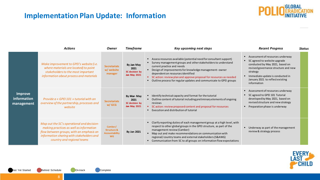#### **Implementation Plan Update: Information**



|                                             | <b>Actions</b>                                                                                                                                                                                               | <b>Owner</b>                                                            | <b>Timeframe</b>                                                       | Key upcoming next steps                                                                                                                                                                                                                                                                                                                                                                                          | <b>Recent Progress</b>                                                                                                                                                                                                                           | Status |
|---------------------------------------------|--------------------------------------------------------------------------------------------------------------------------------------------------------------------------------------------------------------|-------------------------------------------------------------------------|------------------------------------------------------------------------|------------------------------------------------------------------------------------------------------------------------------------------------------------------------------------------------------------------------------------------------------------------------------------------------------------------------------------------------------------------------------------------------------------------|--------------------------------------------------------------------------------------------------------------------------------------------------------------------------------------------------------------------------------------------------|--------|
| <b>Improve</b><br>information<br>management | Make improvement to GPEI's website (i.e.<br>where materials are located) to point<br>stakeholders to the most important<br>information about process and materials                                           | <b>Secretariats</b><br>w/ website<br>manager                            | By <del>Jan</del> May<br>2021<br>SC decision by<br><b>Jan May 2021</b> | Assess resources available (potential need for consultant support)<br>Survey management groups and other stakeholders to understand<br>current practice and needs<br>" Design of improvements for knowledge management-owner<br>dependent on resources identified<br>" SC action: review plan and approve proposal for resources as needed<br>Outline process for regular updates and communicate to GPEI groups | Assessment of resources underway<br>" SC agreed to website upgrade<br>conducted by May 2021, based on<br>revised governance structure and new<br>strategy<br>Immediate update is conducted in<br>January 2021 to reflect existing<br>information |        |
|                                             | Provide a « GPEI 101 » tutorial with an<br>overview of the partnership, processes and<br>website                                                                                                             | <b>Secretariats</b><br>w/ GCG                                           | By Mar May<br>2021<br>SC decision by<br><b>Jan May 2021</b>            | ■ Identify technical capacity and format for the tutorial<br>" Outline content of tutorial including preliminary elements of ongoing<br>reviews<br>" SC action: review proposed content and proposal for resources<br>Execution and distribution of tutorial                                                                                                                                                     | Assessment of resources underway<br>SC agreed to GPEI 101 Tutorial<br>developed by May 2021, based on<br>revised structure and new strategy<br>" Preparation phase is underway                                                                   |        |
|                                             | Map out the SC's operational and decision-<br>making practices as well as information<br>flow between groups, with an emphasis on<br>information sharing with stakeholders and<br>country and regional teams | Camber/<br><b>Structure &amp;</b><br><b>Accountability</b><br><b>WG</b> | By Jan 2021                                                            | Clarify reporting duties of each management group at a high level, with<br>respect to other global groups in the GPEI structure, as part of the<br>management review (Camber)<br>" Map out and make recommendations on communication with<br>regional/country teams and external stakeholders (S&AWG)<br>Communication from SC to all groups on information flow expectations                                    | Underway as part of the management<br>review & strategy process                                                                                                                                                                                  |        |